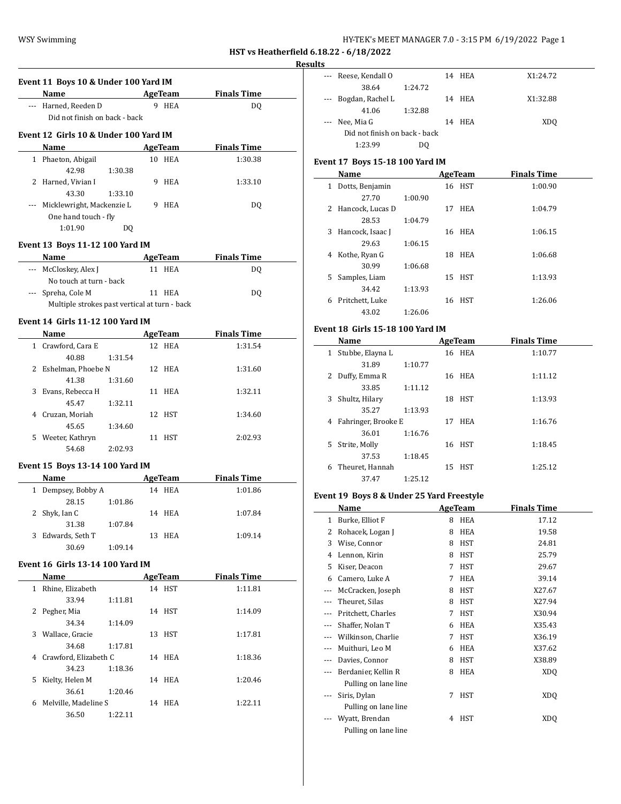| HY-TEK's MEET MANAGER 7.0 - 3:15 PM 6/19/2022 Page 1 |  |  |  |
|------------------------------------------------------|--|--|--|
|------------------------------------------------------|--|--|--|

**Results**

|   | Event 11 Boys 10 & Under 100 Yard IM                                                                                                                                                                                          |         |                |                                      |
|---|-------------------------------------------------------------------------------------------------------------------------------------------------------------------------------------------------------------------------------|---------|----------------|--------------------------------------|
|   | Name and the same state of the state of the state of the state of the state of the state of the state of the state of the state of the state of the state of the state of the state of the state of the state of the state of |         |                | <b>AgeTeam</b><br><b>Finals Time</b> |
|   | --- Harned, Reeden D                                                                                                                                                                                                          |         | 9 HEA          | DQ                                   |
|   | Did not finish on back - back                                                                                                                                                                                                 |         |                |                                      |
|   | Event 12 Girls 10 & Under 100 Yard IM                                                                                                                                                                                         |         |                |                                      |
|   | Name                                                                                                                                                                                                                          |         | <b>AgeTeam</b> | <b>Finals Time</b>                   |
|   | 1 Phaeton, Abigail                                                                                                                                                                                                            |         | 10 HEA         | 1:30.38                              |
|   | 42.98                                                                                                                                                                                                                         | 1:30.38 |                |                                      |
|   | 2 Harned, Vivian I                                                                                                                                                                                                            |         | 9 HEA          | 1:33.10                              |
|   | 43.30                                                                                                                                                                                                                         | 1:33.10 |                |                                      |
|   | --- Micklewright, Mackenzie L                                                                                                                                                                                                 |         | 9 HEA          | DQ                                   |
|   | One hand touch - fly                                                                                                                                                                                                          |         |                |                                      |
|   | 1:01.90                                                                                                                                                                                                                       | DQ      |                |                                      |
|   | Event 13 Boys 11-12 100 Yard IM                                                                                                                                                                                               |         |                |                                      |
|   | Name                                                                                                                                                                                                                          |         | AgeTeam        | <b>Finals Time</b>                   |
|   | --- McCloskey, Alex J                                                                                                                                                                                                         |         | 11 HEA         | DQ                                   |
|   | No touch at turn - back                                                                                                                                                                                                       |         |                |                                      |
|   | --- Spreha, Cole M                                                                                                                                                                                                            |         | 11 HEA         | DQ                                   |
|   | Multiple strokes past vertical at turn - back                                                                                                                                                                                 |         |                |                                      |
|   |                                                                                                                                                                                                                               |         |                |                                      |
|   | <b>Event 14 Girls 11-12 100 Yard IM</b>                                                                                                                                                                                       |         |                |                                      |
|   | <b>Name</b>                                                                                                                                                                                                                   |         | <b>AgeTeam</b> | <b>Finals Time</b>                   |
|   | 1 Crawford, Cara E                                                                                                                                                                                                            |         | 12 HEA         | 1:31.54                              |
|   | 40.88                                                                                                                                                                                                                         | 1:31.54 |                |                                      |
|   | 2 Eshelman, Phoebe N                                                                                                                                                                                                          |         | 12 HEA         | 1:31.60                              |
|   | 41.38                                                                                                                                                                                                                         | 1:31.60 |                |                                      |
|   | 3 Evans, Rebecca H                                                                                                                                                                                                            |         | 11 HEA         | 1:32.11                              |
|   | 45.47                                                                                                                                                                                                                         | 1:32.11 |                |                                      |
|   | 4 Cruzan, Moriah                                                                                                                                                                                                              |         | 12 HST         | 1:34.60                              |
|   | 45.65                                                                                                                                                                                                                         | 1:34.60 |                |                                      |
|   | 5 Weeter, Kathryn                                                                                                                                                                                                             |         | 11 HST         | 2:02.93                              |
|   | 54.68                                                                                                                                                                                                                         | 2:02.93 |                |                                      |
|   | Event 15 Boys 13-14 100 Yard IM                                                                                                                                                                                               |         |                |                                      |
|   | <b>Name</b>                                                                                                                                                                                                                   |         | AgeTeam        | <b>Finals Time</b>                   |
|   | 1 Dempsey, Bobby A                                                                                                                                                                                                            |         | 14 HEA         | 1:01.86                              |
|   | 28.15                                                                                                                                                                                                                         | 1:01.86 |                |                                      |
| 2 | Shyk, Ian C                                                                                                                                                                                                                   |         | 14 HEA         | 1:07.84                              |
|   | 31.38                                                                                                                                                                                                                         | 1:07.84 |                |                                      |
|   | 3 Edwards, Seth T                                                                                                                                                                                                             |         | 13 HEA         | 1:09.14                              |
|   | 30.69                                                                                                                                                                                                                         | 1:09.14 |                |                                      |
|   | <b>Event 16 Girls 13-14 100 Yard IM</b>                                                                                                                                                                                       |         |                |                                      |
|   | <b>Name</b>                                                                                                                                                                                                                   |         | <b>AgeTeam</b> | <b>Example 1</b> Finals Time         |
|   | 1 Rhine, Elizabeth                                                                                                                                                                                                            |         | 14 HST         | 1:11.81                              |
|   | 33.94                                                                                                                                                                                                                         | 1:11.81 |                |                                      |
|   | 2 Pegher, Mia                                                                                                                                                                                                                 |         | 14 HST         | 1:14.09                              |
|   | 34.34                                                                                                                                                                                                                         | 1:14.09 |                |                                      |
|   | 3 Wallace, Gracie                                                                                                                                                                                                             |         | 13 HST         | 1:17.81                              |
|   | 34.68                                                                                                                                                                                                                         | 1:17.81 |                |                                      |
|   | 4 Crawford, Elizabeth C                                                                                                                                                                                                       |         | 14 HEA         | 1:18.36                              |
|   | 34.23                                                                                                                                                                                                                         | 1:18.36 |                |                                      |
|   | 5 Kielty, Helen M                                                                                                                                                                                                             |         | 14 HEA         | 1:20.46                              |
|   | 36.61                                                                                                                                                                                                                         | 1:20.46 |                |                                      |
|   | 6 Melville, Madeline S                                                                                                                                                                                                        |         | 14 HEA         | 1:22.11                              |
|   | 36.50                                                                                                                                                                                                                         | 1:22.11 |                |                                      |
|   |                                                                                                                                                                                                                               |         |                |                                      |

| s        |                               |         |    |            |                 |
|----------|-------------------------------|---------|----|------------|-----------------|
|          | Reese, Kendall O              |         |    | 14 HEA     | X1:24.72        |
|          | 38.64                         | 1:24.72 |    |            |                 |
| $\cdots$ | Bogdan, Rachel L              |         | 14 | HEA        | X1:32.88        |
|          | 41.06                         | 1:32.88 |    |            |                 |
| $\cdots$ | Nee, Mia G                    |         | 14 | <b>HEA</b> | XD <sub>0</sub> |
|          | Did not finish on back - back |         |    |            |                 |
|          | 1:23.99                       | DΟ      |    |            |                 |

# **Event 17 Boys 15-18 100 Yard IM**

|   | Name               |         |    | AgeTeam    | <b>Finals Time</b> |
|---|--------------------|---------|----|------------|--------------------|
| 1 | Dotts, Benjamin    |         |    | 16 HST     | 1:00.90            |
|   | 27.70              | 1:00.90 |    |            |                    |
|   | 2 Hancock, Lucas D |         |    | 17 HEA     | 1:04.79            |
|   | 28.53              | 1:04.79 |    |            |                    |
| 3 | Hancock, Isaac J   |         |    | 16 HEA     | 1:06.15            |
|   | 29.63              | 1:06.15 |    |            |                    |
| 4 | Kothe, Ryan G      |         | 18 | <b>HEA</b> | 1:06.68            |
|   | 30.99              | 1:06.68 |    |            |                    |
| 5 | Samples, Liam      |         |    | 15 HST     | 1:13.93            |
|   | 34.42              | 1:13.93 |    |            |                    |
| 6 | Pritchett, Luke    |         | 16 | <b>HST</b> | 1:26.06            |
|   | 43.02              | 1:26.06 |    |            |                    |

#### **Event 18 Girls 15-18 100 Yard IM**

|    | Name                |         |    | AgeTeam    | <b>Finals Time</b> |
|----|---------------------|---------|----|------------|--------------------|
| 1  | Stubbe, Elayna L    |         |    | 16 HEA     | 1:10.77            |
|    | 31.89               | 1:10.77 |    |            |                    |
| 2  | Duffy, Emma R       |         |    | 16 HEA     | 1:11.12            |
|    | 33.85               | 1:11.12 |    |            |                    |
| 3  | Shultz, Hilary      |         | 18 | HST        | 1:13.93            |
|    | 35.27               | 1:13.93 |    |            |                    |
| 4  | Fahringer, Brooke E |         | 17 | <b>HEA</b> | 1:16.76            |
|    | 36.01               | 1:16.76 |    |            |                    |
| 5. | Strite, Molly       |         | 16 | HST        | 1:18.45            |
|    | 37.53               | 1:18.45 |    |            |                    |
| 6  | Theuret, Hannah     |         | 15 | HST        | 1:25.12            |
|    | 37.47               | 1:25.12 |    |            |                    |

# **Event 19 Boys 8 & Under 25 Yard Freestyle**

|          | Name                                   |   | <b>AgeTeam</b> | <b>Finals Time</b> |
|----------|----------------------------------------|---|----------------|--------------------|
| 1        | Burke, Elliot F                        | 8 | <b>HEA</b>     | 17.12              |
| 2        | Rohacek, Logan J                       | 8 | <b>HEA</b>     | 19.58              |
| 3        | Wise, Connor                           | 8 | <b>HST</b>     | 24.81              |
| 4        | Lennon, Kirin                          | 8 | <b>HST</b>     | 25.79              |
| 5        | Kiser, Deacon                          | 7 | <b>HST</b>     | 29.67              |
| 6        | Camero, Luke A                         | 7 | <b>HEA</b>     | 39.14              |
|          | McCracken, Joseph                      | 8 | <b>HST</b>     | X27.67             |
| $\cdots$ | Theuret, Silas                         | 8 | <b>HST</b>     | X27.94             |
|          | Pritchett, Charles                     | 7 | <b>HST</b>     | X30.94             |
| ---      | Shaffer, Nolan T                       | 6 | <b>HEA</b>     | X35.43             |
|          | Wilkinson, Charlie                     | 7 | HST            | X36.19             |
| ---      | Muithuri, Leo M                        | 6 | <b>HEA</b>     | X37.62             |
| ---      | Davies, Connor                         | 8 | <b>HST</b>     | X38.89             |
|          | Berdanier, Kellin R                    | 8 | <b>HEA</b>     | <b>XDQ</b>         |
|          | Pulling on lane line                   |   |                |                    |
|          | Siris, Dylan                           | 7 | HST            | XDQ                |
|          | Pulling on lane line                   |   |                |                    |
|          | Wyatt, Brendan<br>Pulling on lane line | 4 | HST            | XD <sub>O</sub>    |
|          |                                        |   |                |                    |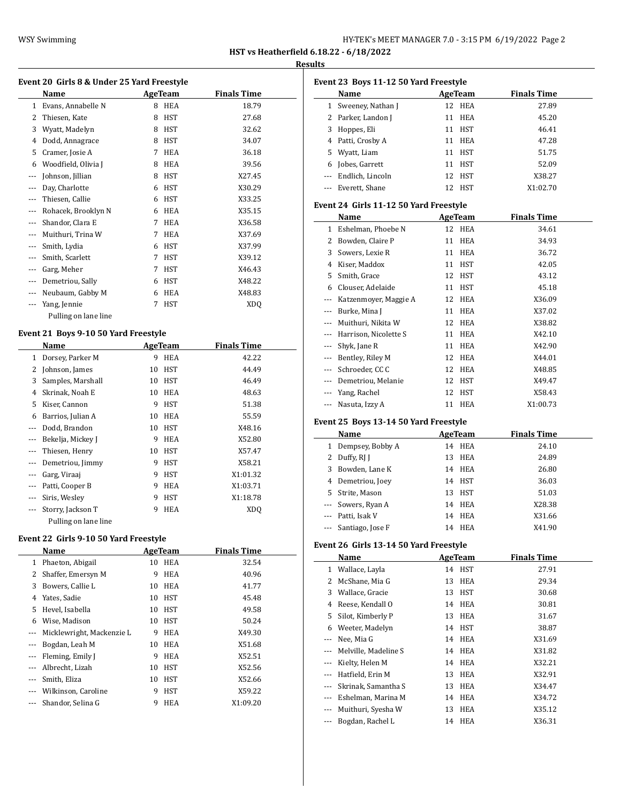## **Results**

|                | Event 20 Girls 8 & Under 25 Yard Freestyle |    |                |                    |
|----------------|--------------------------------------------|----|----------------|--------------------|
|                | Name                                       |    | <b>AgeTeam</b> | <b>Finals Time</b> |
| $\mathbf{1}$   | Evans, Annabelle N                         | 8  | <b>HEA</b>     | 18.79              |
| 2              | Thiesen, Kate                              | 8  | <b>HST</b>     | 27.68              |
| 3              | Wyatt, Madelyn                             | 8  | <b>HST</b>     | 32.62              |
| 4              | Dodd, Annagrace                            | 8  | <b>HST</b>     | 34.07              |
| 5              | Cramer, Josie A                            | 7  | <b>HEA</b>     | 36.18              |
| 6              | Woodfield, Olivia J                        | 8  | <b>HEA</b>     | 39.56              |
| ---            | Johnson, Jillian                           | 8  | <b>HST</b>     | X27.45             |
| $---$          | Day, Charlotte                             | 6  | <b>HST</b>     | X30.29             |
| ---            | Thiesen, Callie                            | 6  | <b>HST</b>     | X33.25             |
| ---            | Rohacek, Brooklyn N                        | 6  | HEA            | X35.15             |
|                | Shandor, Clara E                           | 7  | <b>HEA</b>     | X36.58             |
| ---            | Muithuri, Trina W                          | 7  | <b>HEA</b>     | X37.69             |
| $- - -$        | Smith, Lydia                               | 6  | <b>HST</b>     | X37.99             |
| ---            | Smith, Scarlett                            | 7  | <b>HST</b>     | X39.12             |
| ---            | Garg, Meher                                | 7  | <b>HST</b>     | X46.43             |
| ---            | Demetriou, Sally                           | 6  | HST            | X48.22             |
| $- - -$        | Neubaum, Gabby M                           | 6  | <b>HEA</b>     | X48.83             |
| ---            | Yang, Jennie                               | 7  | <b>HST</b>     | XDQ                |
|                | Pulling on lane line                       |    |                |                    |
|                | Event 21 Boys 9-10 50 Yard Freestyle       |    |                |                    |
|                | Name                                       |    | <b>AgeTeam</b> | <b>Finals Time</b> |
| 1              | Dorsey, Parker M                           | 9  | <b>HEA</b>     | 42.22              |
| 2              | Johnson, James                             | 10 | <b>HST</b>     | 44.49              |
| 3              | Samples, Marshall                          | 10 | <b>HST</b>     | 46.49              |
| 4              | Skrinak, Noah E                            | 10 | <b>HEA</b>     | 48.63              |
| 5              | Kiser, Cannon                              | 9  | HST            | 51.38              |
| 6              | Barrios, Julian A                          | 10 | <b>HEA</b>     | 55.59              |
| $\overline{a}$ | Dodd, Brandon                              | 10 | <b>HST</b>     | X48.16             |
| ---            | Bekelja, Mickey J                          | 9  | <b>HEA</b>     | X52.80             |
| ---            | Thiesen, Henry                             | 10 | <b>HST</b>     | X57.47             |
| ---            | Demetriou, Jimmy                           | 9  | <b>HST</b>     | X58.21             |
| $- - -$        | Garg, Viraaj                               | 9  | <b>HST</b>     | X1:01.32           |

--- Storry, Jackson T 9 HEA XDQ Pulling on lane line

## **Event 22 Girls 9-10 50 Yard Freestyle**

|       | Name                      |    | AgeTeam    | <b>Finals Time</b> |
|-------|---------------------------|----|------------|--------------------|
| 1     | Phaeton, Abigail          | 10 | <b>HEA</b> | 32.54              |
| 2     | Shaffer, Emersyn M        | 9  | <b>HEA</b> | 40.96              |
| 3     | Bowers, Callie L          | 10 | <b>HEA</b> | 41.77              |
| 4     | Yates, Sadie              | 10 | <b>HST</b> | 45.48              |
| 5.    | Hevel, Isabella           | 10 | <b>HST</b> | 49.58              |
| 6     | Wise, Madison             | 10 | HST        | 50.24              |
| $---$ | Micklewright, Mackenzie L | 9  | <b>HEA</b> | X49.30             |
|       | Bogdan, Leah M            | 10 | <b>HEA</b> | X51.68             |
|       | Fleming, Emily J          | 9  | <b>HEA</b> | X52.51             |
|       | Albrecht, Lizah           | 10 | HST        | X52.56             |
|       | Smith, Eliza              | 10 | HST        | X52.66             |
|       | Wilkinson, Caroline       | 9  | <b>HST</b> | X59.22             |
|       | Shandor, Selina G         | 9  | <b>HEA</b> | X1:09.20           |
|       |                           |    |            |                    |

--- Patti, Cooper B 9 HEA X1:03.71 --- Siris, Wesley 9 HST X1:18.78

|         | Event 23 Boys 11-12 50 Yard Freestyle  |                  |                    |
|---------|----------------------------------------|------------------|--------------------|
|         | Name                                   | AgeTeam          | <b>Finals Time</b> |
| 1       | Sweeney, Nathan J                      | 12<br>HEA        | 27.89              |
|         | 2 Parker, Landon J                     | 11<br>HEA        | 45.20              |
|         | 3 Hoppes, Eli                          | 11 HST           | 46.41              |
|         | 4 Patti, Crosby A                      | 11 HEA           | 47.28              |
|         | 5 Wyatt, Liam                          | 11 HST           | 51.75              |
|         | 6 Jobes, Garrett                       | 11 HST           | 52.09              |
|         | --- Endlich, Lincoln                   | 12 HST           | X38.27             |
|         | --- Everett, Shane                     | 12 HST           | X1:02.70           |
|         | Event 24 Girls 11-12 50 Yard Freestyle |                  |                    |
|         | Name                                   | AgeTeam          | <b>Finals Time</b> |
|         | 1 Eshelman, Phoebe N                   | 12 HEA           | 34.61              |
|         | 2 Bowden, Claire P                     | 11 HEA           | 34.93              |
|         | 3 Sowers, Lexie R                      | 11 HEA           | 36.72              |
|         | 4 Kiser, Maddox                        | 11 HST           | 42.05              |
|         | 5 Smith, Grace                         | 12 HST           | 43.12              |
|         | 6 Clouser, Adelaide                    | 11 HST           | 45.18              |
|         | --- Katzenmoyer, Maggie A              | 12 HEA           | X36.09             |
|         | --- Burke, Mina J                      | 11 HEA           | X37.02             |
|         | --- Muithuri, Nikita W                 | 12 HEA           | X38.82             |
|         | --- Harrison, Nicolette S              | 11 HEA           | X42.10             |
|         |                                        |                  |                    |
|         | --- Shyk, Jane R                       | 11 HEA           | X42.90             |
|         | --- Bentley, Riley M                   | 12 HEA           | X44.01             |
|         | --- Schroeder, CC C                    | 12 HEA           | X48.85             |
|         | --- Demetriou, Melanie                 | 12 HST           | X49.47             |
|         | --- Yang, Rachel                       | 12 HST           | X58.43             |
|         | Nasuta, Izzy A                         | 11 HEA           | X1:00.73           |
|         | Event 25 Boys 13-14 50 Yard Freestyle  |                  |                    |
|         | Name                                   | <b>AgeTeam</b>   | <b>Finals Time</b> |
|         | 1 Dempsey, Bobby A                     | 14 HEA           | 24.10              |
|         | 2 Duffy, RJ J                          | 13 HEA           | 24.89              |
|         | 3 Bowden, Lane K                       | 14 HEA           | 26.80              |
|         | 4 Demetriou, Joey                      | 14 HST           | 36.03              |
|         | 5 Strite, Mason                        | 13 HST           | 51.03              |
|         | --- Sowers, Ryan A                     | 14 HEA           | X28.38             |
|         | --- Patti, Isak V                      | 14 HEA           | X31.66             |
|         | --- Santiago, Jose F                   | 14 HEA           | X41.90             |
|         | Event 26 Girls 13-14 50 Yard Freestyle |                  |                    |
|         | Name                                   | <b>AgeTeam</b>   | <b>Finals Time</b> |
|         | 1 Wallace, Layla                       | 14               |                    |
|         |                                        | HST<br>HEA       | 27.91              |
|         | 2 McShane, Mia G                       | 13               | 29.34              |
|         | 3 Wallace, Gracie                      | <b>HST</b><br>13 | 30.68              |
|         | 4 Reese, Kendall O                     | 14<br>HEA        | 30.81              |
| 5       | Silot, Kimberly P                      | HEA<br>13        | 31.67              |
|         | 6 Weeter, Madelyn                      | 14 HST           | 38.87              |
|         | --- Nee, Mia G                         | 14 HEA           | X31.69             |
|         | --- Melville, Madeline S               | 14 HEA           | X31.82             |
|         | --- Kielty, Helen M                    | 14 HEA           | X32.21             |
|         | --- Hatfield, Erin M                   | 13 HEA           | X32.91             |
|         | --- Skrinak, Samantha S                | HEA<br>13        | X34.47             |
|         | --- Eshelman, Marina M                 | HEA<br>14        | X34.72             |
| $- - -$ | Muithuri, Syesha W                     | HEA<br>13        | X35.12             |
| ---     | Bogdan, Rachel L                       | 14 HEA           | X36.31             |
|         |                                        |                  |                    |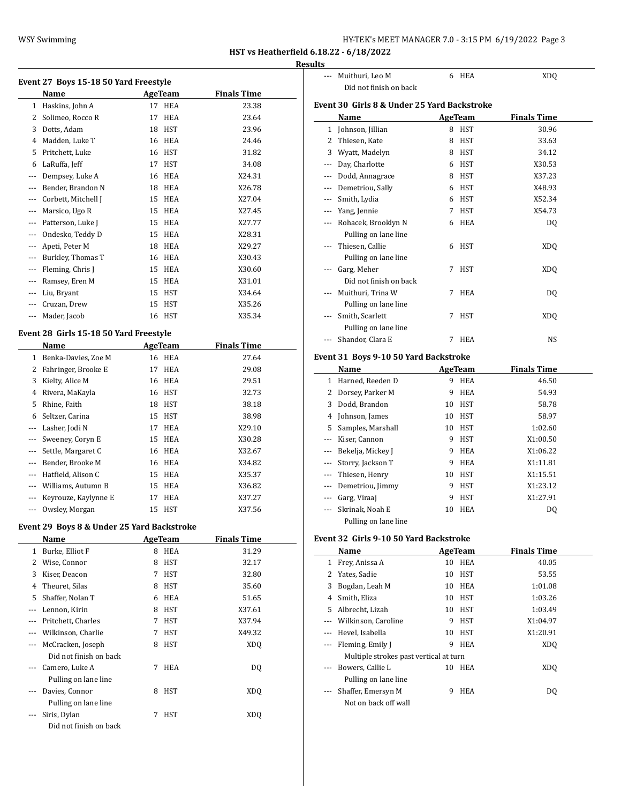| HY-TEK's MEET MANAGER 7.0 - 3:15 PM 6/19/2022 Page 3 |  |  |  |  |  |
|------------------------------------------------------|--|--|--|--|--|
|------------------------------------------------------|--|--|--|--|--|

## **Results**

| Event 27 Boys 15-18 50 Yard Freestyle |                                            |    |                |                    |  |  |
|---------------------------------------|--------------------------------------------|----|----------------|--------------------|--|--|
|                                       | Name                                       |    | <b>AgeTeam</b> | <b>Finals Time</b> |  |  |
| 1                                     | Haskins, John A                            | 17 | HEA            | 23.38              |  |  |
| 2                                     | Solimeo, Rocco R                           | 17 | <b>HEA</b>     | 23.64              |  |  |
| 3                                     | Dotts, Adam                                | 18 | HST            | 23.96              |  |  |
|                                       | 4 Madden, Luke T                           | 16 | HEA            | 24.46              |  |  |
| 5                                     | Pritchett, Luke                            |    | 16 HST         | 31.82              |  |  |
| 6                                     | LaRuffa, Jeff                              | 17 | <b>HST</b>     | 34.08              |  |  |
| ---                                   | Dempsey, Luke A                            | 16 | HEA            | X24.31             |  |  |
| ---                                   | Bender, Brandon N                          | 18 | HEA            | X26.78             |  |  |
| ---                                   | Corbett, Mitchell J                        | 15 | HEA            | X27.04             |  |  |
| ---                                   | Marsico, Ugo R                             | 15 | HEA            | X27.45             |  |  |
| ---                                   | Patterson, Luke J                          | 15 | HEA            | X27.77             |  |  |
| ---                                   | Ondesko, Teddy D                           | 15 | HEA            | X28.31             |  |  |
| $---$                                 | Apeti, Peter M                             | 18 | HEA            | X29.27             |  |  |
| ---                                   | Burkley, Thomas T                          |    | 16 HEA         | X30.43             |  |  |
| ---                                   | Fleming, Chris J                           | 15 | HEA            | X30.60             |  |  |
|                                       | --- Ramsey, Eren M                         |    | 15 HEA         | X31.01             |  |  |
| $---$                                 | Liu, Bryant                                | 15 | HST            | X34.64             |  |  |
| ---                                   | Cruzan, Drew                               | 15 | <b>HST</b>     | X35.26             |  |  |
| $\cdots$                              | Mader, Jacob                               | 16 | HST            | X35.34             |  |  |
|                                       |                                            |    |                |                    |  |  |
|                                       | Event 28 Girls 15-18 50 Yard Freestyle     |    |                |                    |  |  |
|                                       | Name                                       |    | <b>AgeTeam</b> | <b>Finals Time</b> |  |  |
|                                       | 1 Benka-Davies, Zoe M                      | 16 | HEA            | 27.64              |  |  |
|                                       | 2 Fahringer, Brooke E                      | 17 | HEA            | 29.08              |  |  |
| 3                                     | Kielty, Alice M                            | 16 | HEA            | 29.51              |  |  |
| 4                                     | Rivera, MaKayla                            | 16 | HST            | 32.73              |  |  |
| 5                                     | Rhine, Faith                               | 18 | HST            | 38.18              |  |  |
| 6                                     | Seltzer, Carina                            | 15 | HST            | 38.98              |  |  |
|                                       | --- Lasher, Jodi N                         | 17 | HEA            | X29.10             |  |  |
| ---                                   | Sweeney, Coryn E                           | 15 | HEA            | X30.28             |  |  |
| ---                                   | Settle, Margaret C                         |    | 16 HEA         | X32.67             |  |  |
| ---                                   | Bender, Brooke M                           |    | 16 HEA         | X34.82             |  |  |
| ---                                   | Hatfield, Alison C                         | 15 | HEA            | X35.37             |  |  |
| ---                                   | Williams, Autumn B                         | 15 | HEA            | X36.82             |  |  |
| ---                                   | Keyrouze, Kaylynne E                       | 17 | HEA            | X37.27             |  |  |
| ---                                   | Owsley, Morgan                             | 15 | HST            | X37.56             |  |  |
|                                       | Event 29 Boys 8 & Under 25 Yard Backstroke |    |                |                    |  |  |
|                                       | <b>Name</b>                                |    | <b>AgeTeam</b> | <b>Finals Time</b> |  |  |
| 1                                     | Burke, Elliot F                            | 8  | HEA            | 31.29              |  |  |
| 2                                     | Wise, Connor                               | 8  | HST            | 32.17              |  |  |
| 3                                     | Kiser, Deacon                              | 7  | HST            | 32.80              |  |  |
| 4                                     | Theuret, Silas                             | 8  | HST            | 35.60              |  |  |
| 5                                     | Shaffer, Nolan T                           | 6  | HEA            | 51.65              |  |  |
| ---                                   | Lennon, Kirin                              | 8  | HST            | X37.61             |  |  |
| ---                                   | Pritchett, Charles                         | 7  | HST            | X37.94             |  |  |
| ---                                   | Wilkinson, Charlie                         | 7  | <b>HST</b>     | X49.32             |  |  |
| ---                                   | McCracken, Joseph                          | 8  | HST            | XDQ                |  |  |
|                                       | Did not finish on back                     |    |                |                    |  |  |
| ---                                   | Camero, Luke A                             | 7  | HEA            | DQ                 |  |  |
|                                       | Pulling on lane line                       |    |                |                    |  |  |
| ---                                   | Davies, Connor                             | 8  | HST            | XDQ                |  |  |
|                                       | Pulling on lane line                       |    |                |                    |  |  |
|                                       | Siris, Dylan                               | 7  | HST            | <b>XDQ</b>         |  |  |
|                                       | Did not finish on back                     |    |                |                    |  |  |
|                                       |                                            |    |                |                    |  |  |

|       | --- Muithuri, Leo M                            |    | 6 HEA             | <b>XDQ</b>         |  |
|-------|------------------------------------------------|----|-------------------|--------------------|--|
|       | Did not finish on back                         |    |                   |                    |  |
|       | Event 30 Girls 8 & Under 25 Yard Backstroke    |    |                   |                    |  |
|       | Name                                           |    |                   | <b>Finals Time</b> |  |
|       |                                                |    | <b>AgeTeam</b>    | 30.96              |  |
|       | 1 Johnson, Jillian                             |    | 8 HST<br>8 HST    | 33.63              |  |
|       | 2 Thiesen, Kate<br>3 Wyatt, Madelyn            |    | 8 HST             | 34.12              |  |
|       |                                                |    | 6 HST             | X30.53             |  |
|       | --- Day, Charlotte<br>--- Dodd, Annagrace      |    | 8 HST             | X37.23             |  |
|       |                                                |    | 6 HST             | X48.93             |  |
|       | --- Demetriou, Sally<br>--- Smith, Lydia       |    | 6 HST             | X52.34             |  |
|       | --- Yang, Jennie                               | 7  | <b>HST</b>        | X54.73             |  |
| ---   | Rohacek, Brooklyn N                            |    | 6 HEA             |                    |  |
|       |                                                |    |                   | DQ                 |  |
|       | Pulling on lane line<br>Thiesen, Callie        |    | 6 HST             |                    |  |
|       |                                                |    |                   | XDQ                |  |
|       | Pulling on lane line<br>Garg, Meher            |    |                   |                    |  |
|       |                                                | 7  | HST               | XDQ                |  |
|       | Did not finish on back                         |    |                   |                    |  |
| ---   | Muithuri, Trina W                              | 7  | HEA               | DQ                 |  |
|       | Pulling on lane line                           |    |                   |                    |  |
|       | --- Smith, Scarlett                            | 7  | HST               | XDQ                |  |
|       | Pulling on lane line                           |    |                   |                    |  |
|       | --- Shandor, Clara E                           | 7  | HEA               | NS                 |  |
|       | Event 31 Boys 9-10 50 Yard Backstroke          |    |                   |                    |  |
|       | Name                                           |    | <b>AgeTeam</b>    | <b>Finals Time</b> |  |
|       | 1 Harned, Reeden D                             |    | 9 HEA             | 46.50              |  |
|       | 2 Dorsey, Parker M                             |    | 9 HEA             | 54.93              |  |
|       | 3 Dodd, Brandon                                |    | 10 HST            | 58.78              |  |
|       | 4 Johnson, James                               |    | 10 HST            | 58.97              |  |
|       | 5 Samples, Marshall                            |    | 10 HST            | 1:02.60            |  |
|       | --- Kiser, Cannon                              |    | 9 HST             | X1:00.50           |  |
|       | --- Bekelja, Mickey J                          |    | 9 HEA             | X1:06.22           |  |
|       | --- Storry, Jackson T                          |    | 9 HEA             | X1:11.81           |  |
|       | --- Thiesen, Henry                             |    | 10 HST            | X1:15.51           |  |
|       | --- Demetriou, Jimmy                           |    | 9 HST             | X1:23.12           |  |
|       | --- Garg, Viraaj                               | 9  | HST               | X1:27.91           |  |
| $---$ | Skrinak, Noah E                                | 10 | HEA               | DQ                 |  |
|       | Pulling on lane line                           |    |                   |                    |  |
|       | Event 32 Girls 9-10 50 Yard Backstroke         |    |                   |                    |  |
|       |                                                |    |                   | <b>Finals Time</b> |  |
|       | Name                                           |    | AgeTeam<br>10 HEA |                    |  |
|       | 1 Frey, Anissa A                               |    |                   | 40.05              |  |
|       | 2 Yates, Sadie<br>3 Bogdan, Leah M             |    | 10 HST<br>10 HEA  | 53.55<br>1:01.08   |  |
|       | 4 Smith, Eliza                                 |    | 10 HST            |                    |  |
|       |                                                |    |                   | 1:03.26            |  |
|       | 5 Albrecht, Lizah                              |    | 10 HST<br>9 HST   | 1:03.49            |  |
|       | --- Wilkinson, Caroline<br>--- Hevel, Isabella |    |                   | X1:04.97           |  |
|       |                                                |    | 10 HST            | X1:20.91           |  |
|       | --- Fleming, Emily J                           | 9  | HEA               | <b>XDQ</b>         |  |
|       | Multiple strokes past vertical at turn         |    |                   |                    |  |
|       | --- Bowers, Callie L                           | 10 | HEA               | XDQ                |  |
|       | Pulling on lane line                           |    |                   |                    |  |
|       | --- Shaffer, Emersyn M                         | 9  | HEA               | DQ                 |  |
|       | Not on back off wall                           |    |                   |                    |  |
|       |                                                |    |                   |                    |  |
|       |                                                |    |                   |                    |  |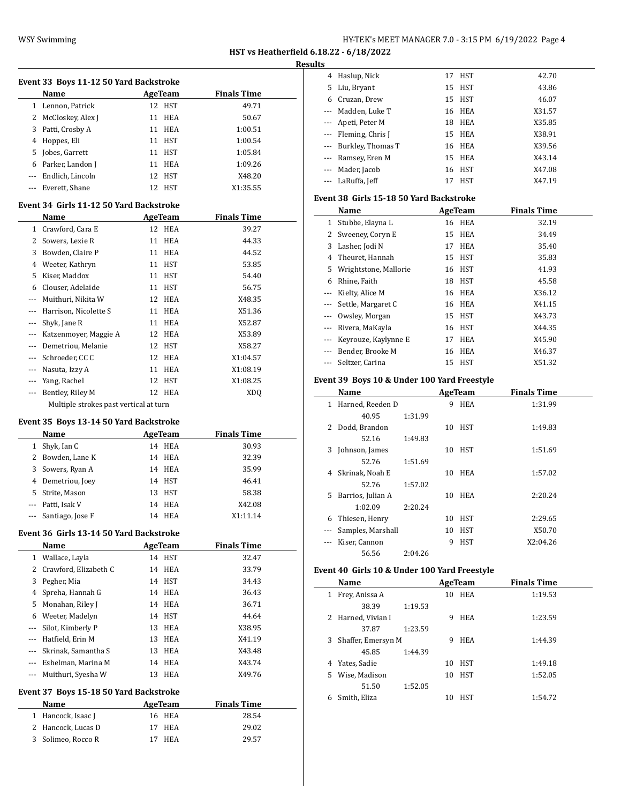| HY-TEK's MEET MANAGER 7.0 - 3:15 PM 6/19/2022 Page 4 |  |  |  |
|------------------------------------------------------|--|--|--|
|------------------------------------------------------|--|--|--|

4 Haslup, Nick 17 HST 42.70

**HST vs Heatherfield 6.18.22 - 6/18/2022**

#### **Results**

 $\frac{1}{2}$ 

|              | Event 33 Boys 11-12 50 Yard Backstroke         |    |                   |                    |
|--------------|------------------------------------------------|----|-------------------|--------------------|
|              | Name                                           |    | AgeTeam           | <b>Finals Time</b> |
|              | 1 Lennon, Patrick                              |    | 12 HST            | 49.71              |
|              | 2 McCloskey, Alex J                            |    | 11 HEA            | 50.67              |
|              | 3 Patti, Crosby A                              |    | 11 HEA            | 1:00.51            |
|              | 4 Hoppes, Eli                                  |    | 11 HST            | 1:00.54            |
|              | 5 Jobes, Garrett                               |    | 11 HST            | 1:05.84            |
|              | 6 Parker, Landon J                             |    | 11 HEA            | 1:09.26            |
|              | --- Endlich, Lincoln                           |    | 12 HST            | X48.20             |
|              | --- Everett, Shane                             |    | 12 HST            | X1:35.55           |
|              | Event 34 Girls 11-12 50 Yard Backstroke        |    |                   |                    |
|              | Name                                           |    | <b>AgeTeam</b>    | <b>Finals Time</b> |
|              | 1 Crawford, Cara E                             |    | 12 HEA            | 39.27              |
|              | 2 Sowers, Lexie R                              |    | 11 HEA            | 44.33              |
|              | 3 Bowden, Claire P                             |    | 11 HEA            | 44.52              |
|              | 4 Weeter, Kathryn                              |    | 11 HST            | 53.85              |
|              | 5 Kiser, Maddox                                |    | 11 HST            | 54.40              |
|              | 6 Clouser, Adelaide                            |    | 11 HST            | 56.75              |
|              | --- Muithuri, Nikita W                         |    | 12 HEA            | X48.35             |
|              | --- Harrison, Nicolette S                      |    | 11 HEA            | X51.36             |
|              | --- Shyk, Jane R                               |    | 11 HEA            | X52.87             |
|              | --- Katzenmoyer, Maggie A                      |    | 12 HEA            | X53.89             |
|              | --- Demetriou, Melanie                         |    | 12 HST            | X58.27             |
|              | --- Schroeder, CC C                            |    | 12 HEA            | X1:04.57           |
|              | --- Nasuta, Izzy A                             |    | 11 HEA            | X1:08.19           |
|              | --- Yang, Rachel                               | 12 | HST               | X1:08.25           |
|              | --- Bentley, Riley M                           |    | 12 HEA            | XDQ                |
|              | Multiple strokes past vertical at turn         |    |                   |                    |
|              |                                                |    |                   |                    |
|              | Event 35 Boys 13-14 50 Yard Backstroke         |    |                   |                    |
|              | Name                                           |    | <b>AgeTeam</b>    | <b>Finals Time</b> |
|              | 1 Shyk, Ian C                                  |    | 14 HEA            | 30.93              |
|              | 2 Bowden, Lane K                               |    | 14 HEA            | 32.39              |
|              | 3 Sowers, Ryan A                               |    | 14 HEA            | 35.99              |
|              | 4 Demetriou, Joey                              |    | 14 HST            | 46.41              |
|              | 5 Strite, Mason                                |    | 13 HST            | 58.38              |
|              | --- Patti, Isak V                              |    | 14 HEA            | X42.08             |
|              | --- Santiago, Jose F                           |    | 14 HEA            | X1:11.14           |
|              |                                                |    |                   |                    |
|              | Event 36 Girls 13-14 50 Yard Backstroke        |    |                   |                    |
|              | Name                                           |    | AgeTeam           | <b>Finals Time</b> |
|              | 1 Wallace, Layla                               |    | 14 HST            | 32.47              |
| $\mathbf{2}$ | Crawford, Elizabeth C                          | 14 | <b>HEA</b>        | 33.79              |
|              | 3 Pegher, Mia                                  |    | 14 HST            | 34.43              |
| 4            | Spreha, Hannah G                               |    | 14 HEA            | 36.43              |
| 5            | Monahan, Riley J                               |    | 14 HEA            | 36.71              |
|              |                                                | 14 | HST               | 44.64              |
| $\sim$       | 6 Weeter, Madelyn                              | 13 | HEA               | X38.95             |
|              | Silot, Kimberly P                              | 13 |                   |                    |
|              | --- Hatfield, Erin M                           | 13 | HEA<br><b>HEA</b> | X41.19             |
|              | --- Skrinak, Samantha S                        |    |                   | X43.48             |
|              | --- Eshelman, Marina M                         | 14 | HEA               | X43.74             |
|              | --- Muithuri, Syesha W                         | 13 | HEA               | X49.76             |
|              | Event 37 Boys 15-18 50 Yard Backstroke<br>Name |    | <b>AgeTeam</b>    | <b>Finals Time</b> |

2 Hancock, Lucas D 17 HEA 29.02 3 Solimeo, Rocco R 17 HEA 29.57

| 5              | Liu, Bryant                                 | 15 | <b>HST</b>     | 43.86              |  |
|----------------|---------------------------------------------|----|----------------|--------------------|--|
| 6              | Cruzan, Drew                                | 15 | <b>HST</b>     | 46.07              |  |
|                | Madden, Luke T                              | 16 | HEA            | X31.57             |  |
| ---            | Apeti, Peter M                              | 18 | <b>HEA</b>     | X35.85             |  |
| ---            | Fleming, Chris J                            | 15 | <b>HEA</b>     | X38.91             |  |
| ---            | Burkley, Thomas T                           | 16 | <b>HEA</b>     | X39.56             |  |
| ---            | Ramsey, Eren M                              | 15 | <b>HEA</b>     | X43.14             |  |
| ---            | Mader, Jacob                                | 16 | <b>HST</b>     | X47.08             |  |
| ---            | LaRuffa, Jeff                               | 17 | <b>HST</b>     | X47.19             |  |
|                | Event 38 Girls 15-18 50 Yard Backstroke     |    |                |                    |  |
|                | Name                                        |    | <b>AgeTeam</b> | <b>Finals Time</b> |  |
| $\mathbf{1}$   | Stubbe, Elayna L                            | 16 | <b>HEA</b>     | 32.19              |  |
| 2              | Sweeney, Coryn E                            | 15 | <b>HEA</b>     | 34.49              |  |
| 3              | Lasher, Jodi N                              | 17 | <b>HEA</b>     | 35.40              |  |
| $\overline{4}$ | Theuret, Hannah                             | 15 | <b>HST</b>     | 35.83              |  |
| 5              | Wrightstone, Mallorie                       | 16 | <b>HST</b>     | 41.93              |  |
| 6              | Rhine, Faith                                | 18 | <b>HST</b>     | 45.58              |  |
| ---            | Kielty, Alice M                             | 16 | HEA            | X36.12             |  |
| ---            | Settle, Margaret C                          | 16 | <b>HEA</b>     | X41.15             |  |
| ---            | Owsley, Morgan                              | 15 | <b>HST</b>     | X43.73             |  |
| ---            | Rivera, MaKayla                             | 16 | <b>HST</b>     | X44.35             |  |
| ---            | Keyrouze, Kaylynne E                        | 17 | <b>HEA</b>     | X45.90             |  |
| ---            | Bender, Brooke M                            | 16 | <b>HEA</b>     | X46.37             |  |
| ---            | Seltzer, Carina                             | 15 | HST            | X51.32             |  |
|                | Event 39 Boys 10 & Under 100 Yard Freestyle |    |                |                    |  |
|                |                                             |    |                |                    |  |

# 

|    | Name              |         |    | AgeTeam    | <b>Finals Time</b> |
|----|-------------------|---------|----|------------|--------------------|
| 1  | Harned, Reeden D  |         | 9  | <b>HEA</b> | 1:31.99            |
|    | 40.95             | 1:31.99 |    |            |                    |
| 2  | Dodd, Brandon     |         | 10 | <b>HST</b> | 1:49.83            |
|    | 52.16             | 1:49.83 |    |            |                    |
| 3  | Johnson, James    |         | 10 | <b>HST</b> | 1:51.69            |
|    | 52.76             | 1:51.69 |    |            |                    |
| 4  | Skrinak, Noah E   |         | 10 | <b>HEA</b> | 1:57.02            |
|    | 52.76             | 1:57.02 |    |            |                    |
| 5. | Barrios, Julian A |         | 10 | <b>HEA</b> | 2:20.24            |
|    | 1:02.09           | 2:20.24 |    |            |                    |
| 6  | Thiesen, Henry    |         | 10 | <b>HST</b> | 2:29.65            |
|    | Samples, Marshall |         | 10 | HST        | X50.70             |
|    | Kiser, Cannon     |         | 9  | <b>HST</b> | X2:04.26           |
|    | 56.56             | 2:04.26 |    |            |                    |

## **Event 40 Girls 10 & Under 100 Yard Freestyle**

|    | Name               |         |    | AgeTeam    | <b>Finals Time</b> |
|----|--------------------|---------|----|------------|--------------------|
| 1  | Frey, Anissa A     |         | 10 | <b>HEA</b> | 1:19.53            |
|    | 38.39              | 1:19.53 |    |            |                    |
|    | 2 Harned, Vivian I |         | 9  | <b>HEA</b> | 1:23.59            |
|    | 37.87              | 1:23.59 |    |            |                    |
| 3  | Shaffer, Emersyn M |         | 9  | <b>HEA</b> | 1:44.39            |
|    | 45.85              | 1:44.39 |    |            |                    |
| 4  | Yates, Sadie       |         | 10 | <b>HST</b> | 1:49.18            |
| 5. | Wise, Madison      |         | 10 | <b>HST</b> | 1:52.05            |
|    | 51.50              | 1:52.05 |    |            |                    |
| 6  | Smith, Eliza       |         | 10 | HST        | 1:54.72            |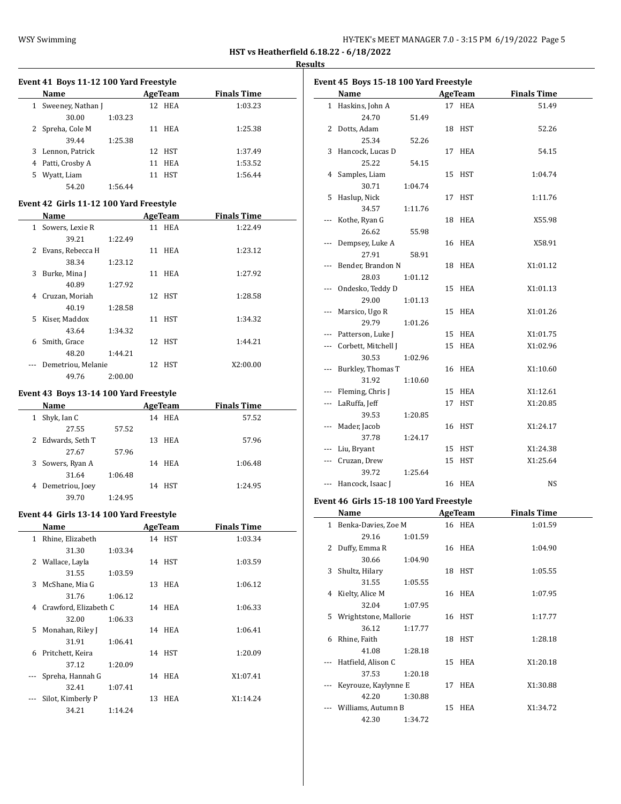| HY-TEK's MEET MANAGER 7.0 - 3:15 PM 6/19/2022 Page 5 |  |  |  |
|------------------------------------------------------|--|--|--|
|------------------------------------------------------|--|--|--|

 $\overline{\phantom{0}}$ 

#### **Results**

|    | <b>Name</b>                             |         | AgeTeam        | <b>Finals Time</b> |
|----|-----------------------------------------|---------|----------------|--------------------|
|    | 1 Sweeney, Nathan J                     |         | 12 HEA         | 1:03.23            |
|    | 30.00                                   | 1:03.23 |                |                    |
|    | 2 Spreha, Cole M                        |         | 11 HEA         | 1:25.38            |
|    | 39.44                                   | 1:25.38 |                |                    |
| 3  | Lennon, Patrick                         |         | 12 HST         | 1:37.49            |
|    | 4 Patti, Crosby A                       |         | 11 HEA         | 1:53.52            |
| 5. | Wyatt, Liam                             |         | 11 HST         | 1:56.44            |
|    | 54.20                                   | 1:56.44 |                |                    |
|    | Event 42 Girls 11-12 100 Yard Freestyle |         |                |                    |
|    | Name                                    |         | <b>AgeTeam</b> | <b>Finals Time</b> |
|    | 1 Sowers, Lexie R                       |         | 11 HEA         | 1:22.49            |
|    | 39.21                                   | 1:22.49 |                |                    |
|    | 2 Evans, Rebecca H                      |         | 11 HEA         | 1:23.12            |
|    | 38.34                                   | 1:23.12 |                |                    |
|    | 3 Burke, Mina J                         |         | 11 HEA         | 1:27.92            |
|    | 40.89                                   | 1:27.92 |                |                    |
|    | 4 Cruzan, Moriah                        |         | 12 HST         | 1:28.58            |
|    | 40.19                                   | 1:28.58 |                |                    |
|    | 5 Kiser, Maddox                         |         | 11 HST         | 1:34.32            |
|    | 43.64                                   | 1:34.32 |                |                    |
|    | 6 Smith, Grace                          |         | 12 HST         | 1:44.21            |
|    | 48.20                                   | 1:44.21 |                |                    |
|    | Demetriou, Melanie                      |         | 12 HST         | X2:00.00           |

# 49.76 2:00.00 **Event 43 Boys 13-14 100 Yard Freestyle**

| Name                 |         | AgeTeam   | <b>Finals Time</b> |  |
|----------------------|---------|-----------|--------------------|--|
| Shyk, Ian C<br>1     |         | 14 HEA    | 57.52              |  |
| 27.55                | 57.52   |           |                    |  |
| 2 Edwards, Seth T    |         | 13 HEA    | 57.96              |  |
| 27.67                | 57.96   |           |                    |  |
| 3 Sowers, Ryan A     |         | 14 HEA    | 1:06.48            |  |
| 31.64                | 1:06.48 |           |                    |  |
| Demetriou, Joey<br>4 |         | HST<br>14 | 1:24.95            |  |
| 39.70                | 1:24.95 |           |                    |  |

## **Event 44 Girls 13-14 100 Yard Freestyle**

|              | Name                  |         | <b>AgeTeam</b> | <b>Finals Time</b> |
|--------------|-----------------------|---------|----------------|--------------------|
| $\mathbf{1}$ | Rhine, Elizabeth      |         | 14 HST         | 1:03.34            |
|              | 31.30                 | 1:03.34 |                |                    |
|              | 2 Wallace, Layla      |         | 14 HST         | 1:03.59            |
|              | 31.55                 | 1:03.59 |                |                    |
| 3            | McShane, Mia G        |         | 13 HEA         | 1:06.12            |
|              | 31.76                 | 1:06.12 |                |                    |
| 4            | Crawford, Elizabeth C |         | 14 HEA         | 1:06.33            |
|              | 32.00                 | 1:06.33 |                |                    |
| 5.           | Monahan, Riley J      |         | 14 HEA         | 1:06.41            |
|              | 31.91                 | 1:06.41 |                |                    |
| 6            | Pritchett, Keira      |         | 14 HST         | 1:20.09            |
|              | 37.12                 | 1:20.09 |                |                    |
|              | Spreha, Hannah G      |         | 14 HEA         | X1:07.41           |
|              | 32.41                 | 1:07.41 |                |                    |
|              | Silot, Kimberly P     |         | 13 HEA         | X1:14.24           |
|              | 34.21                 | 1:14.24 |                |                    |

|              | Event 45 Boys 15-18 100 Yard Freestyle  |                |                    |  |
|--------------|-----------------------------------------|----------------|--------------------|--|
|              | <b>Name</b>                             | AgeTeam        | <b>Finals Time</b> |  |
|              | 1 Haskins, John A                       | 17 HEA         | 51.49              |  |
|              | 24.70<br>51.49                          |                |                    |  |
|              | 2 Dotts, Adam                           | 18 HST         | 52.26              |  |
|              | 25.34<br>52.26                          |                |                    |  |
| 3            | Hancock, Lucas D                        | 17 HEA         | 54.15              |  |
|              |                                         |                |                    |  |
|              | 25.22<br>54.15                          |                |                    |  |
| 4            | Samples, Liam                           | 15 HST         | 1:04.74            |  |
|              | 30.71<br>1:04.74                        |                |                    |  |
| 5            | Haslup, Nick                            | 17 HST         | 1:11.76            |  |
|              | 34.57<br>1:11.76                        |                |                    |  |
| ---          | Kothe, Ryan G                           | 18 HEA         | X55.98             |  |
|              | 26.62<br>55.98                          |                |                    |  |
|              | Dempsey, Luke A                         | 16 HEA         | X58.91             |  |
|              | 27.91<br>58.91                          |                |                    |  |
| ---          | Bender, Brandon N                       | 18 HEA         | X1:01.12           |  |
|              | 28.03<br>1:01.12                        |                |                    |  |
|              | Ondesko, Teddy D                        | 15 HEA         | X1:01.13           |  |
|              | 29.00<br>1:01.13                        |                |                    |  |
| ---          | Marsico, Ugo R                          | 15 HEA         | X1:01.26           |  |
|              | 29.79<br>1:01.26                        |                |                    |  |
| ---          | Patterson, Luke J                       | 15 HEA         | X1:01.75           |  |
|              | Corbett, Mitchell J                     | 15 HEA         | X1:02.96           |  |
|              | 30.53<br>1:02.96                        |                |                    |  |
|              |                                         |                |                    |  |
|              | Burkley, Thomas T                       | 16 HEA         | X1:10.60           |  |
|              | 31.92<br>1:10.60                        |                |                    |  |
| ---          | Fleming, Chris J                        | 15 HEA         | X1:12.61           |  |
|              | --- LaRuffa, Jeff                       | 17 HST         | X1:20.85           |  |
|              | 39.53<br>1:20.85                        |                |                    |  |
| ---          | Mader, Jacob                            | 16 HST         | X1:24.17           |  |
|              | 37.78<br>1:24.17                        |                |                    |  |
|              | Liu, Bryant                             | 15 HST         | X1:24.38           |  |
|              | --- Cruzan, Drew                        | 15 HST         | X1:25.64           |  |
|              | 39.72<br>1:25.64                        |                |                    |  |
|              | Hancock, Isaac J                        | 16 HEA         | NS                 |  |
|              |                                         |                |                    |  |
|              | Event 46 Girls 15-18 100 Yard Freestyle |                |                    |  |
|              | <b>Name</b>                             | <b>AgeTeam</b> | <b>Finals Time</b> |  |
|              | 1 Benka-Davies, Zoe M                   | 16 HEA         | 1:01.59            |  |
|              | 29.16<br>1:01.59                        |                |                    |  |
| $\mathbf{2}$ | Duffy, Emma R                           | 16 HEA         | 1:04.90            |  |
|              | 30.66<br>1:04.90                        |                |                    |  |
| 3            | Shultz, Hilary                          | 18 HST         | 1:05.55            |  |
|              | 31.55<br>1:05.55                        |                |                    |  |
| 4            | Kielty, Alice M                         | 16 HEA         | 1:07.95            |  |
|              | 32.04<br>1:07.95                        |                |                    |  |
|              | 5 Wrightstone, Mallorie                 | 16 HST         | 1:17.77            |  |
|              | 36.12<br>1:17.77                        |                |                    |  |
|              | 6 Rhine, Faith                          | 18 HST         | 1:28.18            |  |
|              | 41.08<br>1:28.18                        |                |                    |  |
| ---          | Hatfield, Alison C                      | 15 HEA         | X1:20.18           |  |
|              | 37.53<br>1:20.18                        |                |                    |  |
|              | Keyrouze, Kaylynne E                    | 17 HEA         | X1:30.88           |  |
|              | 42.20<br>1:30.88                        |                |                    |  |
|              |                                         |                |                    |  |
|              | --- Williams, Autumn B                  | 15 HEA         | X1:34.72           |  |
|              | 42.30<br>1:34.72                        |                |                    |  |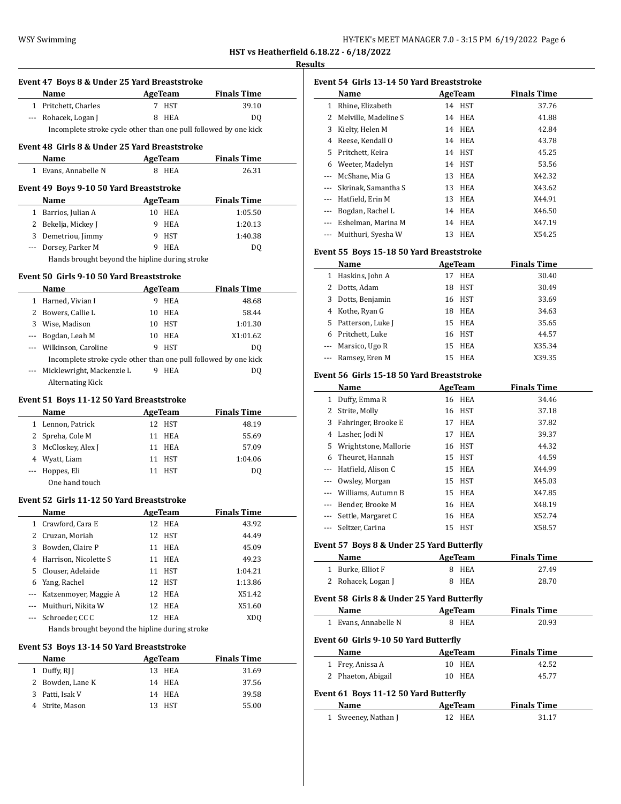# **Results Event 47 Boys 8 & Under 25 Yard Breaststroke Name Age Team Finals Time** 1 Pritchett, Charles 7 HST 39.10 --- Rohacek, Logan J 8 HEA DQ Incomplete stroke cycle other than one pull followed by one kick **Event 48 Girls 8 & Under 25 Yard Breaststroke Name Age Team Finals Time** 1 Evans, Annabelle N 8 HEA 26.31 **Event 49 Boys 9-10 50 Yard Breaststroke Name AgeTeam Finals Time** 1 Barrios, Julian A 10 HEA 1:05.50 2 Bekelja, Mickey J 9 HEA 1:20.13 3 Demetriou, Jimmy 9 HST 1:40.38 --- Dorsey, Parker M 9 HEA DQ Hands brought beyond the hipline during stroke **Event 50 Girls 9-10 50 Yard Breaststroke Name Age Team Finals Time** 1 Harned, Vivian I 9 HEA 48.68 2 Bowers, Callie L 10 HEA 58.44 3 Wise, Madison 10 HST 1:01.30 --- Bogdan, Leah M 10 HEA X1:01.62 --- Wilkinson, Caroline 9 HST DQ Incomplete stroke cycle other than one pull followed by one kick --- Micklewright, Mackenzie L 9 HEA DQ Alternating Kick **Event 51 Boys 11-12 50 Yard Breaststroke Name AgeTeam Finals Time** 1 Lennon, Patrick 12 HST 48.19 2 Spreha, Cole M 11 HEA 55.69 3 McCloskey, Alex J 11 HEA 57.09 4 Wyatt, Liam 11 HST 1:04.06 --- Hoppes, Eli 11 HST DQ One hand touch **Event 52 Girls 11-12 50 Yard Breaststroke Name Age Team Finals Time** 1 Crawford, Cara E 12 HEA 43.92 2 Cruzan, Moriah 12 HST 44.49 3 Bowden, Claire P 11 HEA 45.09 4 Harrison, Nicolette S 11 HEA 49.23 5 Clouser, Adelaide 11 HST 1:04.21 6 Yang, Rachel 12 HST 1:13.86 --- Katzenmoyer, Maggie A 12 HEA X51.42 --- Muithuri, Nikita W 12 HEA X51.60 --- Schroeder, CC C 12 HEA XDQ Hands brought beyond the hipline during stroke **Event 53 Boys 13-14 50 Yard Breaststroke Name AgeTeam Finals Time** 1 Duffy, RJ J 13 HEA 31.69 2 Bowden, Lane K 14 HEA 37.56 3 Patti, Isak V 14 HEA 39.58

4 Strite, Mason 13 HST 55.00

|         | Event 54 Girls 13-14 50 Yard Breaststroke |    |            |                    |  |
|---------|-------------------------------------------|----|------------|--------------------|--|
|         | Name                                      |    | AgeTeam    | <b>Finals Time</b> |  |
| 1       | Rhine, Elizabeth                          | 14 | HST        | 37.76              |  |
| 2       | Melville, Madeline S                      |    | 14 HEA     | 41.88              |  |
| 3       | Kielty, Helen M                           |    | 14 HEA     | 42.84              |  |
| 4       | Reese, Kendall O                          | 14 | HEA        | 43.78              |  |
| 5.      | Pritchett, Keira                          |    | 14 HST     | 45.25              |  |
| 6       | Weeter, Madelyn                           |    | 14 HST     | 53.56              |  |
|         | McShane, Mia G                            | 13 | <b>HEA</b> | X42.32             |  |
| $---$   | Skrinak, Samantha S                       |    | 13 HEA     | X43.62             |  |
| ---     | Hatfield, Erin M                          | 13 | <b>HEA</b> | X44.91             |  |
|         | Bogdan, Rachel L                          | 14 | HEA        | X46.50             |  |
| $- - -$ | Eshelman, Marina M                        |    | 14 HEA     | X47.19             |  |
|         | Muithuri, Syesha W                        | 13 | HEA        | X54.25             |  |

#### **Event 55 Boys 15-18 50 Yard Breaststroke**

|   | Name                | AgeTeam |            | <b>Finals Time</b> |
|---|---------------------|---------|------------|--------------------|
| 1 | Haskins, John A     | 17      | <b>HEA</b> | 30.40              |
|   | Dotts. Adam         | 18      | <b>HST</b> | 30.49              |
| 3 | Dotts, Benjamin     |         | 16 HST     | 33.69              |
|   | 4 Kothe, Ryan G     | 18      | HEA        | 34.63              |
|   | 5 Patterson, Luke J |         | 15 HEA     | 35.65              |
| 6 | Pritchett, Luke     |         | 16 HST     | 44.57              |
|   | --- Marsico, Ugo R  |         | 15 HEA     | X35.34             |
|   | --- Ramsey, Eren M  | 15      | HEA        | X39.35             |

#### **Event 56 Girls 15-18 50 Yard Breaststroke**

|              | Name                                       |    | <b>AgeTeam</b> | <b>Finals Time</b> |
|--------------|--------------------------------------------|----|----------------|--------------------|
| 1            | Duffy, Emma R                              | 16 | <b>HEA</b>     | 34.46              |
| 2            | Strite, Molly                              | 16 | <b>HST</b>     | 37.18              |
| 3            | Fahringer, Brooke E                        | 17 | <b>HEA</b>     | 37.82              |
| 4            | Lasher, Jodi N                             | 17 | <b>HEA</b>     | 39.37              |
| 5            | Wrightstone, Mallorie                      | 16 | <b>HST</b>     | 44.32              |
| 6            | Theuret, Hannah                            | 15 | <b>HST</b>     | 44.59              |
| ---          | Hatfield, Alison C                         | 15 | <b>HEA</b>     | X44.99             |
| ---          | Owsley, Morgan                             | 15 | <b>HST</b>     | X45.03             |
| ---          | Williams, Autumn B                         | 15 | <b>HEA</b>     | X47.85             |
|              | Bender, Brooke M                           | 16 | HEA            | X48.19             |
| ---          | Settle, Margaret C                         | 16 | HEA            | X52.74             |
| ---          | Seltzer, Carina                            | 15 | <b>HST</b>     | X58.57             |
|              | Event 57 Boys 8 & Under 25 Yard Butterfly  |    |                |                    |
|              | Name                                       |    | <b>AgeTeam</b> | <b>Finals Time</b> |
|              | 1 Burke, Elliot F                          | 8  | <b>HEA</b>     | 27.49              |
| 2            | Rohacek, Logan J                           | 8  | <b>HEA</b>     | 28.70              |
|              | Event 58 Girls 8 & Under 25 Yard Butterfly |    |                |                    |
|              | Name                                       |    | <b>AgeTeam</b> | <b>Finals Time</b> |
|              | 1 Evans, Annabelle N                       | 8  | HEA            | 20.93              |
|              | Event 60 Girls 9-10 50 Yard Butterfly      |    |                |                    |
|              | Name                                       |    | AgeTeam        | <b>Finals Time</b> |
| 1            | Frey, Anissa A                             | 10 | <b>HEA</b>     | 42.52              |
| 2            | Phaeton, Abigail                           | 10 | HEA            | 45.77              |
|              |                                            |    |                |                    |
|              | Event 61 Boys 11-12 50 Yard Butterfly      |    |                |                    |
|              | Name                                       |    | <b>AgeTeam</b> | <b>Finals Time</b> |
| $\mathbf{1}$ | Sweeney, Nathan J                          | 12 | <b>HEA</b>     | 31.17              |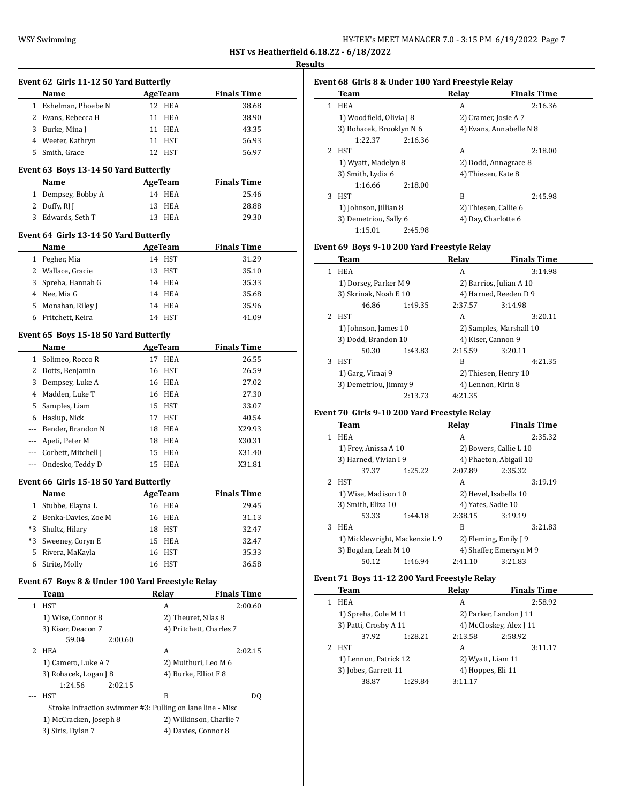**Results**

|                | Event 62 Girls 11-12 50 Yard Butterfly                    |                |                          |                                              |
|----------------|-----------------------------------------------------------|----------------|--------------------------|----------------------------------------------|
|                | Name                                                      |                | <b>AgeTeam</b>           | <b>Finals Time</b>                           |
|                | 1 Eshelman, Phoebe N                                      |                | 12 HEA                   | 38.68                                        |
|                | 2 Evans, Rebecca H                                        |                | 11 HEA                   | 38.90                                        |
|                | 3 Burke, Mina J                                           |                | 11 HEA                   | 43.35                                        |
|                | 4 Weeter, Kathryn                                         |                | 11 HST                   | 56.93                                        |
|                | 5 Smith, Grace                                            |                | 12 HST                   | 56.97                                        |
|                |                                                           |                |                          |                                              |
|                | Event 63 Boys 13-14 50 Yard Butterfly<br>Name             |                |                          | <b>Finals Time</b>                           |
|                |                                                           |                | <b>AgeTeam</b><br>14 HEA |                                              |
|                | 1 Dempsey, Bobby A                                        |                |                          | 25.46                                        |
|                | 2 Duffy, RJ J                                             |                | 13 HEA                   | 28.88                                        |
|                | 3 Edwards, Seth T                                         |                | 13 HEA                   | 29.30                                        |
|                | Event 64 Girls 13-14 50 Yard Butterfly                    |                |                          |                                              |
|                | Name                                                      |                | <b>AgeTeam</b>           | <b>Finals Time</b>                           |
|                | 1 Pegher, Mia                                             |                | 14 HST                   | 31.29                                        |
|                | 2 Wallace, Gracie                                         |                | 13 HST                   | 35.10                                        |
| 3              | Spreha, Hannah G                                          |                | 14 HEA                   | 35.33                                        |
|                | 4 Nee, Mia G                                              |                | 14 HEA                   | 35.68                                        |
|                | 5 Monahan, Riley J                                        |                | 14 HEA                   | 35.96                                        |
|                | 6 Pritchett, Keira                                        |                | 14 HST                   | 41.09                                        |
|                | Event 65 Boys 15-18 50 Yard Butterfly                     |                |                          |                                              |
|                | Name                                                      | <b>AgeTeam</b> |                          | <b>Finals Time</b>                           |
|                | 1 Solimeo, Rocco R                                        |                | 17 HEA                   | 26.55                                        |
| 2              | Dotts, Benjamin                                           |                | 16 HST                   | 26.59                                        |
| 3              | Dempsey, Luke A                                           |                | 16 HEA                   | 27.02                                        |
| $\overline{4}$ | Madden, Luke T                                            |                | 16 HEA                   | 27.30                                        |
| 5              | Samples, Liam                                             |                | 15 HST                   | 33.07                                        |
| 6              | Haslup, Nick                                              |                | 17 HST                   | 40.54                                        |
| ---            | Bender, Brandon N                                         |                | 18 HEA                   | X29.93                                       |
| ---            | Apeti, Peter M                                            |                | 18 HEA                   | X30.31                                       |
| ---            | Corbett, Mitchell J                                       |                | 15 HEA                   | X31.40                                       |
| ---            | Ondesko, Teddy D                                          |                | 15 HEA                   | X31.81                                       |
|                | Event 66 Girls 15-18 50 Yard Butterfly                    |                |                          |                                              |
|                | Name                                                      |                | AgeTeam                  | <b>Finals Time</b>                           |
|                | 1 Stubbe, Elayna L                                        |                | 16 HEA                   | 29.45                                        |
|                | 2 Benka-Davies, Zoe M                                     |                | 16 HEA                   | 31.13                                        |
| *3             | Shultz, Hilary                                            | 18             | HST                      | 32.47                                        |
| *3             | Sweeney, Coryn E                                          | 15             | HEA                      | 32.47                                        |
| 5              | Rivera, MaKayla                                           | 16             | HST                      | 35.33                                        |
| 6              | Strite, Molly                                             | 16             | HST                      | 36.58                                        |
|                |                                                           |                |                          |                                              |
|                | Event 67 Boys 8 & Under 100 Yard Freestyle Relay          |                |                          |                                              |
|                | Team<br><b>HST</b>                                        |                | Relay                    | <b>Finals Time</b>                           |
| 1              |                                                           |                | A                        | 2:00.60                                      |
|                | 1) Wise, Connor 8                                         |                |                          | 2) Theuret, Silas 8                          |
|                | 3) Kiser, Deacon 7                                        |                |                          | 4) Pritchett, Charles 7                      |
| 2              | 59.04<br>2:00.60<br>HEA                                   |                | A                        | 2:02.15                                      |
|                | 1) Camero, Luke A 7                                       |                |                          |                                              |
|                | 3) Rohacek, Logan J 8                                     |                |                          | 2) Muithuri, Leo M 6<br>4) Burke, Elliot F 8 |
|                | 1:24.56<br>2:02.15                                        |                |                          |                                              |
|                | HST                                                       |                | B                        | DQ                                           |
|                | Stroke Infraction swimmer #3: Pulling on lane line - Misc |                |                          |                                              |
|                | 1) McCracken, Joseph 8                                    |                |                          | 2) Wilkinson, Charlie 7                      |
|                | 3) Siris, Dylan 7                                         |                |                          | 4) Davies, Connor 8                          |
|                |                                                           |                |                          |                                              |

|   | Event 68 Girls 8 & Under 100 Yard Freestyle Relay |       |                         |  |  |  |  |
|---|---------------------------------------------------|-------|-------------------------|--|--|--|--|
|   | Team                                              | Relay | <b>Finals Time</b>      |  |  |  |  |
| 1 | <b>HEA</b>                                        | A     | 2:16.36                 |  |  |  |  |
|   | 1) Woodfield, Olivia J 8                          |       | 2) Cramer, Josie A 7    |  |  |  |  |
|   | 3) Rohacek, Brooklyn N 6                          |       | 4) Evans, Annabelle N 8 |  |  |  |  |
|   | 1:22.37<br>2:16.36                                |       |                         |  |  |  |  |
| 2 | <b>HST</b>                                        | A     | 2:18.00                 |  |  |  |  |
|   | 1) Wyatt, Madelyn 8                               |       | 2) Dodd, Annagrace 8    |  |  |  |  |
|   | 3) Smith, Lydia 6                                 |       | 4) Thiesen, Kate 8      |  |  |  |  |
|   | 2:18.00<br>1:16.66                                |       |                         |  |  |  |  |
| 3 | HST                                               | B     | 2:45.98                 |  |  |  |  |
|   | 1) Johnson, Jillian 8                             |       | 2) Thiesen, Callie 6    |  |  |  |  |
|   | 3) Demetriou, Sally 6                             |       | 4) Day, Charlotte 6     |  |  |  |  |

## **Event 69 Boys 9-10 200 Yard Freestyle Relay**

1:15.01 2:45.98

|   | Team                  |         | Relav   | <b>Finals Time</b>      |  |
|---|-----------------------|---------|---------|-------------------------|--|
| 1 | <b>HEA</b>            |         | A       | 3:14.98                 |  |
|   | 1) Dorsey, Parker M 9 |         |         | 2) Barrios, Julian A 10 |  |
|   | 3) Skrinak, Noah E 10 |         |         | 4) Harned, Reeden D 9   |  |
|   | 46.86                 | 1:49.35 | 2:37.57 | 3:14.98                 |  |
|   | 2 HST                 |         | A       | 3:20.11                 |  |
|   | 1) Johnson, James 10  |         |         | 2) Samples, Marshall 10 |  |
|   | 3) Dodd, Brandon 10   |         |         | 4) Kiser, Cannon 9      |  |
|   | 50.30                 | 1:43.83 | 2:15.59 | 3:20.11                 |  |
| 3 | <b>HST</b>            |         | B       | 4:21.35                 |  |
|   | 1) Garg, Viraaj 9     |         |         | 2) Thiesen, Henry 10    |  |
|   | 3) Demetriou, Jimmy 9 |         |         | 4) Lennon, Kirin 8      |  |
|   |                       | 2:13.73 | 4:21.35 |                         |  |

## **Event 70 Girls 9-10 200 Yard Freestyle Relay**

|    | Team                           |         | Relay                 | <b>Finals Time</b>      |
|----|--------------------------------|---------|-----------------------|-------------------------|
| 1. | <b>HEA</b>                     |         | A                     | 2:35.32                 |
|    | 1) Frey, Anissa A 10           |         |                       | 2) Bowers, Callie L 10  |
|    | 3) Harned, Vivian I 9          |         |                       | 4) Phaeton, Abigail 10  |
|    | 37.37                          | 1:25.22 | 2:07.89               | 2:35.32                 |
|    | 2 HST                          |         | A                     | 3:19.19                 |
|    | 1) Wise, Madison 10            |         | 2) Hevel, Isabella 10 |                         |
|    | 3) Smith, Eliza 10             |         | 4) Yates, Sadie 10    |                         |
|    | 53.33                          | 1:44.18 | 2:38.15               | 3:19.19                 |
| 3  | <b>HEA</b>                     |         | B                     | 3:21.83                 |
|    | 1) Micklewright, Mackenzie L 9 |         | 2) Fleming, Emily J 9 |                         |
|    | 3) Bogdan, Leah M 10           |         |                       | 4) Shaffer, Emersyn M 9 |
|    | 50.12                          | 1:46.94 | 2:41.10               | 3:21.83                 |
|    |                                |         |                       |                         |

# **Event 71 Boys 11-12 200 Yard Freestyle Relay**

|  | Team                                          |         | Relay             | <b>Finals Time</b>      |  |
|--|-----------------------------------------------|---------|-------------------|-------------------------|--|
|  | HEA                                           |         | A                 | 2:58.92                 |  |
|  | 1) Spreha, Cole M 11<br>3) Patti, Crosby A 11 |         |                   | 2) Parker, Landon J 11  |  |
|  |                                               |         |                   | 4) McCloskey, Alex J 11 |  |
|  | 37.92                                         | 1:28.21 | 2:13.58           | 2:58.92                 |  |
|  | HST                                           |         | А                 | 3:11.17                 |  |
|  | 1) Lennon, Patrick 12<br>3) Jobes, Garrett 11 |         | 2) Wyatt, Liam 11 |                         |  |
|  |                                               |         | 4) Hoppes, Eli 11 |                         |  |
|  | 38.87                                         | 1:29.84 | 3:11.17           |                         |  |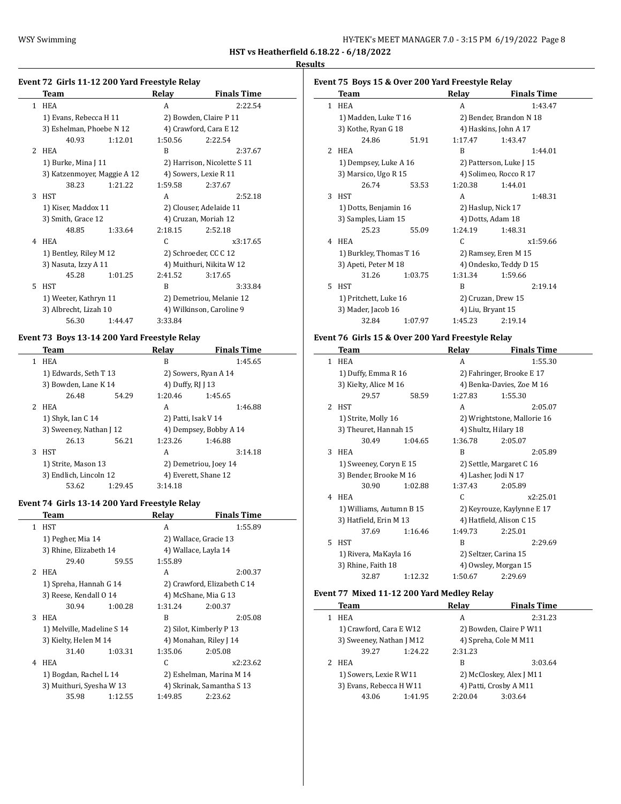$\overline{a}$ 

| HY-TEK's MEET MANAGER 7.0 - 3:15 PM 6/19/2022 Page 8 |  |  |
|------------------------------------------------------|--|--|
|------------------------------------------------------|--|--|

**HST vs Heatherfield 6.18.22 - 6/18/2022**

#### **Results**

## **Event 72 Girls 11-12 200 Yard Freestyle Relay**

|               | Team                                         |         | Relay   | <b>Finals Time</b>          |
|---------------|----------------------------------------------|---------|---------|-----------------------------|
| 1             | <b>HEA</b>                                   |         | A       | 2:22.54                     |
|               | 1) Evans, Rebecca H 11                       |         |         | 2) Bowden, Claire P 11      |
|               | 3) Eshelman, Phoebe N 12<br>40.93<br>1:12.01 |         |         | 4) Crawford, Cara E 12      |
|               |                                              |         | 1:50.56 | 2:22.54                     |
| $\mathcal{L}$ | <b>HEA</b>                                   |         | R       | 2:37.67                     |
|               | 1) Burke, Mina J 11                          |         |         | 2) Harrison, Nicolette S 11 |
|               | 3) Katzenmoyer, Maggie A 12                  |         |         | 4) Sowers, Lexie R 11       |
|               | 38.23                                        | 1:21.22 | 1:59.58 | 2:37.67                     |
| 3             | <b>HST</b>                                   |         | A       | 2:52.18                     |
|               | 1) Kiser, Maddox 11                          |         |         | 2) Clouser, Adelaide 11     |
|               | 3) Smith, Grace 12                           |         |         | 4) Cruzan, Moriah 12        |
|               | 48.85                                        | 1:33.64 | 2:18.15 | 2:52.18                     |
| 4             | <b>HEA</b>                                   |         | C       | x3:17.65                    |
|               | 1) Bentley, Riley M 12                       |         |         | 2) Schroeder, CC C 12       |
|               | 3) Nasuta, Izzy A 11                         |         |         | 4) Muithuri, Nikita W 12    |
|               | 45.28                                        | 1:01.25 | 2:41.52 | 3:17.65                     |
| 5.            | <b>HST</b>                                   |         | B       | 3:33.84                     |
|               | 1) Weeter, Kathryn 11                        |         |         | 2) Demetriou, Melanie 12    |
|               | 3) Albrecht, Lizah 10                        |         |         | 4) Wilkinson, Caroline 9    |
|               | 56.30                                        | 1:44.47 | 3:33.84 |                             |

#### **Event 73 Boys 13-14 200 Yard Freestyle Relay**

|   | Team                    |         | Relav               | <b>Finals Time</b>     |  |
|---|-------------------------|---------|---------------------|------------------------|--|
|   | <b>HEA</b>              |         | B                   | 1:45.65                |  |
|   | 1) Edwards, Seth T 13   |         |                     | 2) Sowers, Ryan A 14   |  |
|   | 3) Bowden, Lane K 14    |         | 4) Duffy, RJ J 13   |                        |  |
|   | 26.48                   | 54.29   | 1:20.46             | 1:45.65                |  |
|   | <b>HEA</b>              |         | A                   | 1:46.88                |  |
|   | 1) Shyk, Ian C 14       |         | 2) Patti, Isak V 14 |                        |  |
|   | 3) Sweeney, Nathan J 12 |         |                     | 4) Dempsey, Bobby A 14 |  |
|   | 26.13                   | 56.21   | 1:23.26             | 1:46.88                |  |
| 3 | <b>HST</b>              |         | A                   | 3:14.18                |  |
|   | 1) Strite, Mason 13     |         |                     | 2) Demetriou, Joey 14  |  |
|   | 3) Endlich, Lincoln 12  |         |                     | 4) Everett, Shane 12   |  |
|   | 53.62                   | 1:29.45 | 3:14.18             |                        |  |

#### **Event 74 Girls 13-14 200 Yard Freestyle Relay**

|   | Team                       |         | Relay                 | <b>Finals Time</b>          |  |
|---|----------------------------|---------|-----------------------|-----------------------------|--|
| 1 | <b>HST</b>                 |         | A                     | 1:55.89                     |  |
|   | 1) Pegher, Mia 14          |         | 2) Wallace, Gracie 13 |                             |  |
|   | 3) Rhine, Elizabeth 14     |         | 4) Wallace, Layla 14  |                             |  |
|   | 29.40                      | 59.55   | 1:55.89               |                             |  |
|   | 2 HEA                      |         | A                     | 2:00.37                     |  |
|   | 1) Spreha, Hannah G 14     |         |                       | 2) Crawford, Elizabeth C 14 |  |
|   | 3) Reese, Kendall 0 14     |         | 4) McShane, Mia G 13  |                             |  |
|   | 30.94                      | 1:00.28 | 1:31.24               | 2:00.37                     |  |
| 3 | <b>HEA</b>                 |         | R                     | 2:05.08                     |  |
|   | 1) Melville, Madeline S 14 |         |                       | 2) Silot, Kimberly P 13     |  |
|   | 3) Kielty, Helen M 14      |         |                       | 4) Monahan, Riley J 14      |  |
|   | 31.40                      | 1:03.31 | 1:35.06               | 2:05.08                     |  |
| 4 | <b>HEA</b>                 |         | C                     | x2:23.62                    |  |
|   | 1) Bogdan, Rachel L 14     |         |                       | 2) Eshelman, Marina M 14    |  |
|   | 3) Muithuri, Syesha W 13   |         |                       | 4) Skrinak, Samantha S 13   |  |
|   | 35.98                      | 1:12.55 | 1:49.85               | 2:23.62                     |  |
|   |                            |         |                       |                             |  |

|  | Event 75 Boys 15 & Over 200 Yard Freestyle Relay |       |                                                  |                         |  |  |  |
|--|--------------------------------------------------|-------|--------------------------------------------------|-------------------------|--|--|--|
|  | Team                                             |       | Relay                                            | <b>Finals Time</b>      |  |  |  |
|  | <b>HEA</b>                                       |       | A                                                | 1:43.47                 |  |  |  |
|  | 1) Madden, Luke T 16<br>3) Kothe, Ryan G 18      |       | 2) Bender, Brandon N 18<br>4) Haskins, John A 17 |                         |  |  |  |
|  |                                                  |       |                                                  |                         |  |  |  |
|  | 24.86                                            | 51.91 | 1:17.47                                          | 1:43.47                 |  |  |  |
|  | <b>HEA</b>                                       |       | B                                                | 1:44.01                 |  |  |  |
|  | 1) Dempsey, Luke A 16<br>3) Marsico, Ugo R 15    |       |                                                  | 2) Patterson, Luke J 15 |  |  |  |
|  |                                                  |       |                                                  | 4) Solimeo, Rocco R 17  |  |  |  |
|  | 26.74                                            | 53.53 | 1:20.38                                          | 1:44.01                 |  |  |  |

3 HST A 1:48.31 1) Dotts, Benjamin 16 2) Haslup, Nick 17 3) Samples, Liam 15 4) Dotts, Adam 18 25.23 55.09 1:24.19 1:48.31 4 HEA C x1:59.66 1) Burkley, Thomas T 16 2) Ramsey, Eren M 15 3) Apeti, Peter M 18 4) Ondesko, Teddy D 15 31.26 1:03.75 1:31.34 1:59.66 5 HST B 2:19.14 1) Pritchett, Luke 16 2) Cruzan, Drew 15 3) Mader, Jacob 16 4) Liu, Bryant 15 32.84 1:07.97 1:45.23 2:19.14

#### **Event 76 Girls 15 & Over 200 Yard Freestyle Relay**

|              | Team                     |         | Relay                       | <b>Finals Time</b>   |  |  |
|--------------|--------------------------|---------|-----------------------------|----------------------|--|--|
| $\mathbf{1}$ | <b>HEA</b>               |         | A                           | 1:55.30              |  |  |
|              | 1) Duffy, Emma R 16      |         | 2) Fahringer, Brooke E 17   |                      |  |  |
|              | 3) Kielty, Alice M 16    |         | 4) Benka-Davies, Zoe M 16   |                      |  |  |
|              | 29.57                    | 58.59   | 1:27.83                     | 1:55.30              |  |  |
| 2            | HST                      |         | A                           | 2:05.07              |  |  |
|              | 1) Strite, Molly 16      |         | 2) Wrightstone, Mallorie 16 |                      |  |  |
|              | 3) Theuret, Hannah 15    |         |                             | 4) Shultz, Hilary 18 |  |  |
|              | 30.49                    | 1:04.65 | 1:36.78                     | 2:05.07              |  |  |
| 3            | <b>HEA</b>               |         | B                           | 2:05.89              |  |  |
|              | 1) Sweeney, Coryn E 15   |         | 2) Settle, Margaret C 16    |                      |  |  |
|              | 3) Bender, Brooke M 16   |         | 4) Lasher, Jodi N 17        |                      |  |  |
|              | 30.90                    | 1:02.88 | 1:37.43                     | 2:05.89              |  |  |
| 4            | <b>HEA</b>               |         | C                           | x2:25.01             |  |  |
|              | 1) Williams, Autumn B 15 |         | 2) Keyrouze, Kaylynne E 17  |                      |  |  |
|              | 3) Hatfield, Erin M 13   |         | 4) Hatfield, Alison C 15    |                      |  |  |
|              | 37.69                    | 1:16.46 | 1:49.73                     | 2:25.01              |  |  |
| 5            | <b>HST</b>               |         | B                           | 2:29.69              |  |  |
|              | 1) Rivera, MaKayla 16    |         | 2) Seltzer, Carina 15       |                      |  |  |
|              | 3) Rhine, Faith 18       |         |                             | 4) Owsley, Morgan 15 |  |  |
|              | 32.87                    | 1:12.32 | 1:50.67                     | 2:29.69              |  |  |

#### **Event 77 Mixed 11-12 200 Yard Medley Relay**

 $\frac{1}{2}$ 

|  | Team                                                |         | Relay   | <b>Finals Time</b>       |  |
|--|-----------------------------------------------------|---------|---------|--------------------------|--|
|  | <b>HEA</b>                                          |         | A       | 2:31.23                  |  |
|  | 1) Crawford, Cara E W12<br>3) Sweeney, Nathan J M12 |         |         | 2) Bowden, Claire P W11  |  |
|  |                                                     |         |         | 4) Spreha, Cole M M11    |  |
|  | 39.27                                               | 1:24.22 | 2:31.23 |                          |  |
|  | <b>HEA</b>                                          |         | B       | 3:03.64                  |  |
|  | 1) Sowers, Lexie R W11<br>3) Evans, Rebecca H W11   |         |         | 2) McCloskey, Alex J M11 |  |
|  |                                                     |         |         | 4) Patti, Crosby A M11   |  |
|  | 43.06                                               | 1:41.95 | 2:20.04 | 3:03.64                  |  |
|  |                                                     |         |         |                          |  |